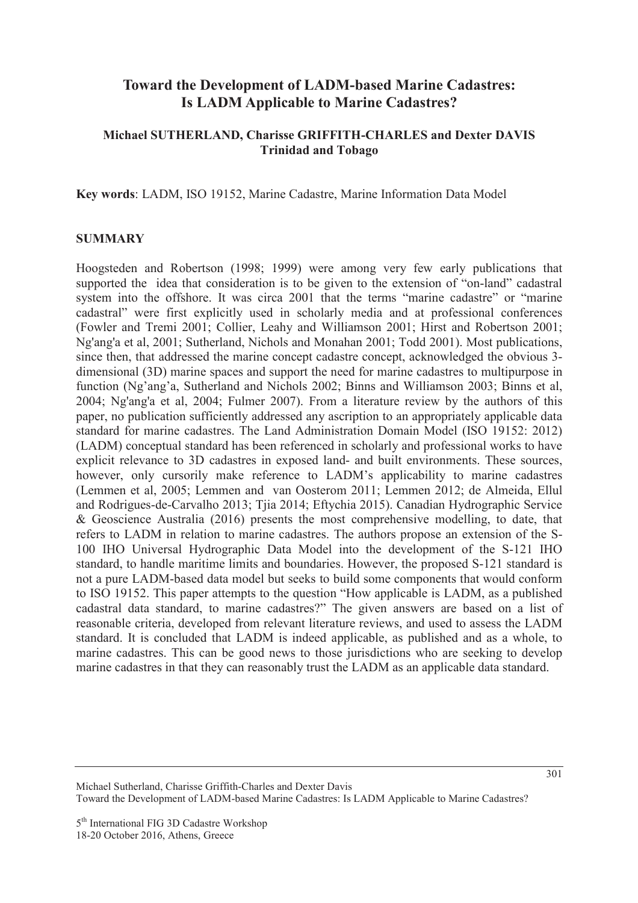# **Toward the Development of LADM-based Marine Cadastres: Is LADM Applicable to Marine Cadastres?**

### **Michael SUTHERLAND, Charisse GRIFFITH-CHARLES and Dexter DAVIS Trinidad and Tobago**

**Key words**: LADM, ISO 19152, Marine Cadastre, Marine Information Data Model

### **SUMMARY**

Hoogsteden and Robertson (1998; 1999) were among very few early publications that supported the idea that consideration is to be given to the extension of "on-land" cadastral system into the offshore. It was circa 2001 that the terms "marine cadastre" or "marine cadastral" were first explicitly used in scholarly media and at professional conferences (Fowler and Tremi 2001; Collier, Leahy and Williamson 2001; Hirst and Robertson 2001; Ng'ang'a et al, 2001; Sutherland, Nichols and Monahan 2001; Todd 2001). Most publications, since then, that addressed the marine concept cadastre concept, acknowledged the obvious 3 dimensional (3D) marine spaces and support the need for marine cadastres to multipurpose in function (Ng'ang'a, Sutherland and Nichols 2002; Binns and Williamson 2003; Binns et al, 2004; Ng'ang'a et al, 2004; Fulmer 2007). From a literature review by the authors of this paper, no publication sufficiently addressed any ascription to an appropriately applicable data standard for marine cadastres. The Land Administration Domain Model (ISO 19152: 2012) (LADM) conceptual standard has been referenced in scholarly and professional works to have explicit relevance to 3D cadastres in exposed land- and built environments. These sources, however, only cursorily make reference to LADM's applicability to marine cadastres (Lemmen et al, 2005; Lemmen and van Oosterom 2011; Lemmen 2012; de Almeida, Ellul and Rodrigues-de-Carvalho 2013; Tjia 2014; Eftychia 2015). Canadian Hydrographic Service & Geoscience Australia (2016) presents the most comprehensive modelling, to date, that refers to LADM in relation to marine cadastres. The authors propose an extension of the S-100 IHO Universal Hydrographic Data Model into the development of the S-121 IHO standard, to handle maritime limits and boundaries. However, the proposed S-121 standard is not a pure LADM-based data model but seeks to build some components that would conform to ISO 19152. This paper attempts to the question "How applicable is LADM, as a published cadastral data standard, to marine cadastres?" The given answers are based on a list of reasonable criteria, developed from relevant literature reviews, and used to assess the LADM standard. It is concluded that LADM is indeed applicable, as published and as a whole, to marine cadastres. This can be good news to those jurisdictions who are seeking to develop marine cadastres in that they can reasonably trust the LADM as an applicable data standard.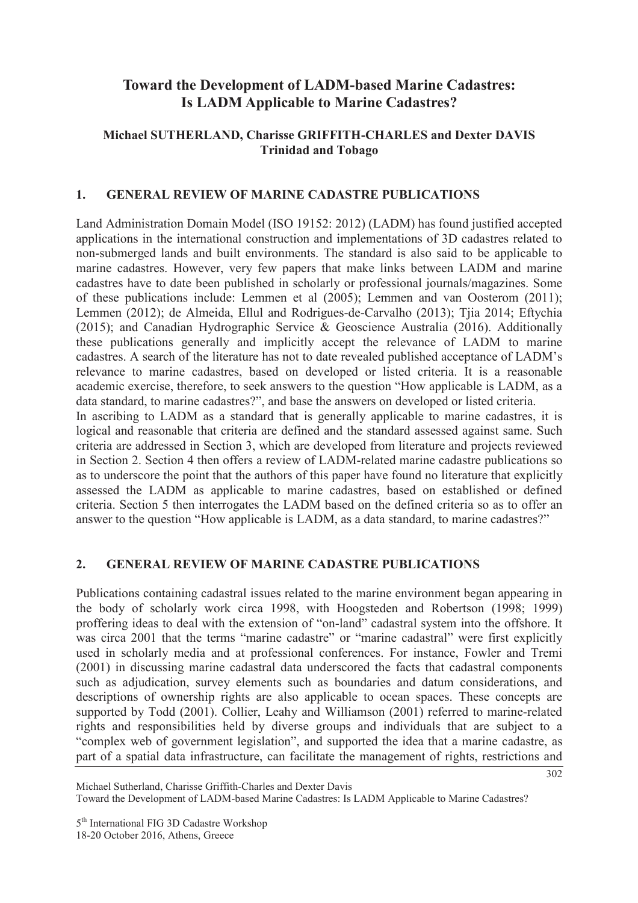# **Toward the Development of LADM-based Marine Cadastres: Is LADM Applicable to Marine Cadastres?**

# **Michael SUTHERLAND, Charisse GRIFFITH-CHARLES and Dexter DAVIS Trinidad and Tobago**

### **1. GENERAL REVIEW OF MARINE CADASTRE PUBLICATIONS**

Land Administration Domain Model (ISO 19152: 2012) (LADM) has found justified accepted applications in the international construction and implementations of 3D cadastres related to non-submerged lands and built environments. The standard is also said to be applicable to marine cadastres. However, very few papers that make links between LADM and marine cadastres have to date been published in scholarly or professional journals/magazines. Some of these publications include: Lemmen et al (2005); Lemmen and van Oosterom (2011); Lemmen (2012); de Almeida, Ellul and Rodrigues-de-Carvalho (2013); Tjia 2014; Eftychia (2015); and Canadian Hydrographic Service & Geoscience Australia (2016). Additionally these publications generally and implicitly accept the relevance of LADM to marine cadastres. A search of the literature has not to date revealed published acceptance of LADM's relevance to marine cadastres, based on developed or listed criteria. It is a reasonable academic exercise, therefore, to seek answers to the question "How applicable is LADM, as a data standard, to marine cadastres?", and base the answers on developed or listed criteria. In ascribing to LADM as a standard that is generally applicable to marine cadastres, it is logical and reasonable that criteria are defined and the standard assessed against same. Such criteria are addressed in Section 3, which are developed from literature and projects reviewed in Section 2. Section 4 then offers a review of LADM-related marine cadastre publications so as to underscore the point that the authors of this paper have found no literature that explicitly assessed the LADM as applicable to marine cadastres, based on established or defined criteria. Section 5 then interrogates the LADM based on the defined criteria so as to offer an

#### **2. GENERAL REVIEW OF MARINE CADASTRE PUBLICATIONS**

Publications containing cadastral issues related to the marine environment began appearing in the body of scholarly work circa 1998, with Hoogsteden and Robertson (1998; 1999) proffering ideas to deal with the extension of "on-land" cadastral system into the offshore. It was circa 2001 that the terms "marine cadastre" or "marine cadastral" were first explicitly used in scholarly media and at professional conferences. For instance, Fowler and Tremi (2001) in discussing marine cadastral data underscored the facts that cadastral components such as adjudication, survey elements such as boundaries and datum considerations, and descriptions of ownership rights are also applicable to ocean spaces. These concepts are supported by Todd (2001). Collier, Leahy and Williamson (2001) referred to marine-related rights and responsibilities held by diverse groups and individuals that are subject to a "complex web of government legislation", and supported the idea that a marine cadastre, as part of a spatial data infrastructure, can facilitate the management of rights, restrictions and

answer to the question "How applicable is LADM, as a data standard, to marine cadastres?"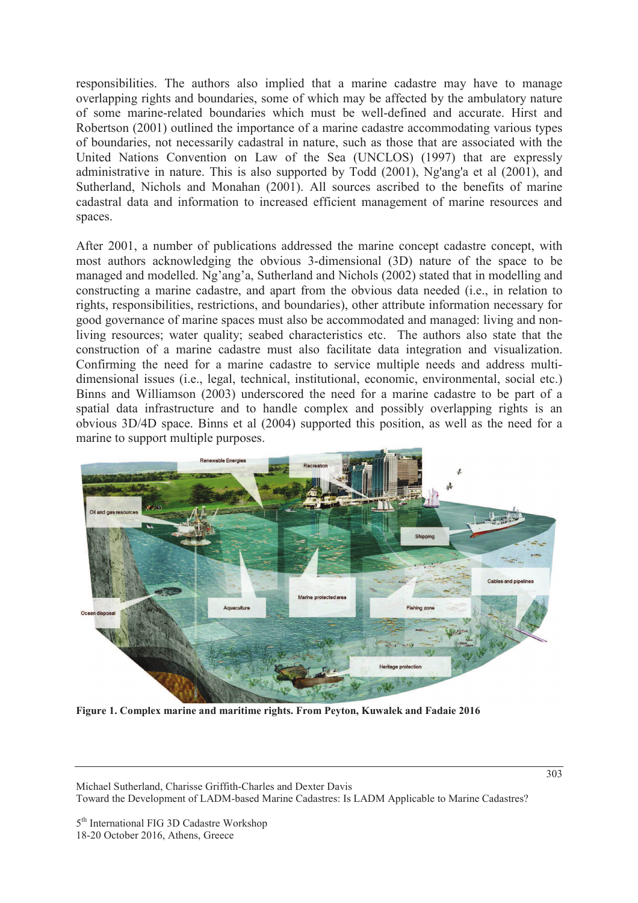responsibilities. The authors also implied that a marine cadastre may have to manage overlapping rights and boundaries, some of which may be affected by the ambulatory nature of some marine-related boundaries which must be well-defined and accurate. Hirst and Robertson (2001) outlined the importance of a marine cadastre accommodating various types of boundaries, not necessarily cadastral in nature, such as those that are associated with the United Nations Convention on Law of the Sea (UNCLOS) (1997) that are expressly administrative in nature. This is also supported by Todd (2001), Ng'ang'a et al (2001), and Sutherland, Nichols and Monahan (2001). All sources ascribed to the benefits of marine cadastral data and information to increased efficient management of marine resources and spaces.

After 2001, a number of publications addressed the marine concept cadastre concept, with most authors acknowledging the obvious 3-dimensional (3D) nature of the space to be managed and modelled. Ng'ang'a, Sutherland and Nichols (2002) stated that in modelling and constructing a marine cadastre, and apart from the obvious data needed (i.e., in relation to rights, responsibilities, restrictions, and boundaries), other attribute information necessary for good governance of marine spaces must also be accommodated and managed: living and nonliving resources; water quality; seabed characteristics etc. The authors also state that the construction of a marine cadastre must also facilitate data integration and visualization. Confirming the need for a marine cadastre to service multiple needs and address multidimensional issues (i.e., legal, technical, institutional, economic, environmental, social etc.) Binns and Williamson (2003) underscored the need for a marine cadastre to be part of a spatial data infrastructure and to handle complex and possibly overlapping rights is an obvious 3D/4D space. Binns et al (2004) supported this position, as well as the need for a marine to support multiple purposes.



**Figure 1. Complex marine and maritime rights. From Peyton, Kuwalek and Fadaie 2016** 

Michael Sutherland, Charisse Griffith-Charles and Dexter Davis Toward the Development of LADM-based Marine Cadastres: Is LADM Applicable to Marine Cadastres?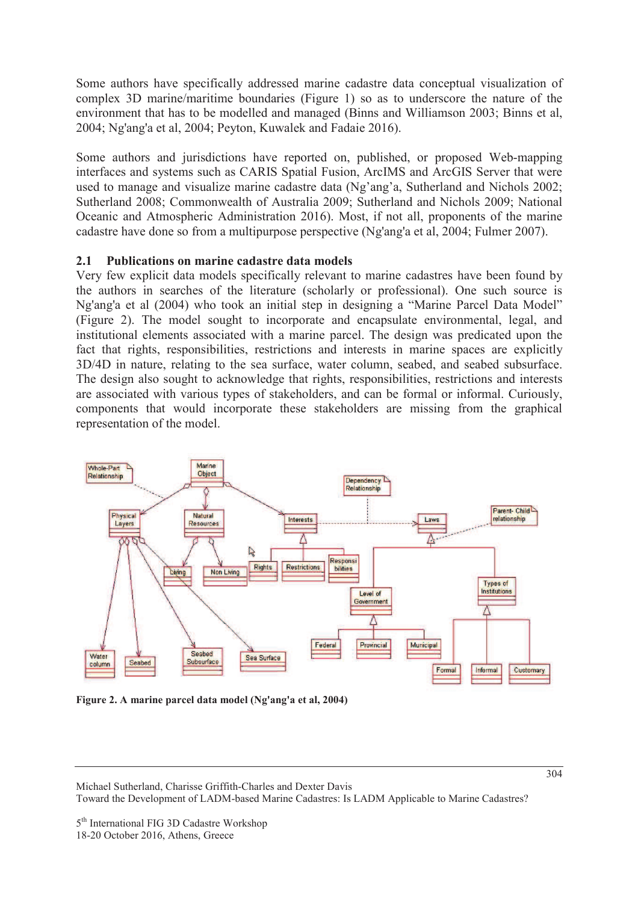Some authors have specifically addressed marine cadastre data conceptual visualization of complex 3D marine/maritime boundaries (Figure 1) so as to underscore the nature of the environment that has to be modelled and managed (Binns and Williamson 2003; Binns et al, 2004; Ng'ang'a et al, 2004; Peyton, Kuwalek and Fadaie 2016).

Some authors and jurisdictions have reported on, published, or proposed Web-mapping interfaces and systems such as CARIS Spatial Fusion, ArcIMS and ArcGIS Server that were used to manage and visualize marine cadastre data (Ng'ang'a, Sutherland and Nichols 2002; Sutherland 2008; Commonwealth of Australia 2009; Sutherland and Nichols 2009; National Oceanic and Atmospheric Administration 2016). Most, if not all, proponents of the marine cadastre have done so from a multipurpose perspective (Ng'ang'a et al, 2004; Fulmer 2007).

# **2.1 Publications on marine cadastre data models**

Very few explicit data models specifically relevant to marine cadastres have been found by the authors in searches of the literature (scholarly or professional). One such source is Ng'ang'a et al (2004) who took an initial step in designing a "Marine Parcel Data Model" (Figure 2). The model sought to incorporate and encapsulate environmental, legal, and institutional elements associated with a marine parcel. The design was predicated upon the fact that rights, responsibilities, restrictions and interests in marine spaces are explicitly 3D/4D in nature, relating to the sea surface, water column, seabed, and seabed subsurface. The design also sought to acknowledge that rights, responsibilities, restrictions and interests are associated with various types of stakeholders, and can be formal or informal. Curiously, components that would incorporate these stakeholders are missing from the graphical representation of the model.



**Figure 2. A marine parcel data model (Ng'ang'a et al, 2004)**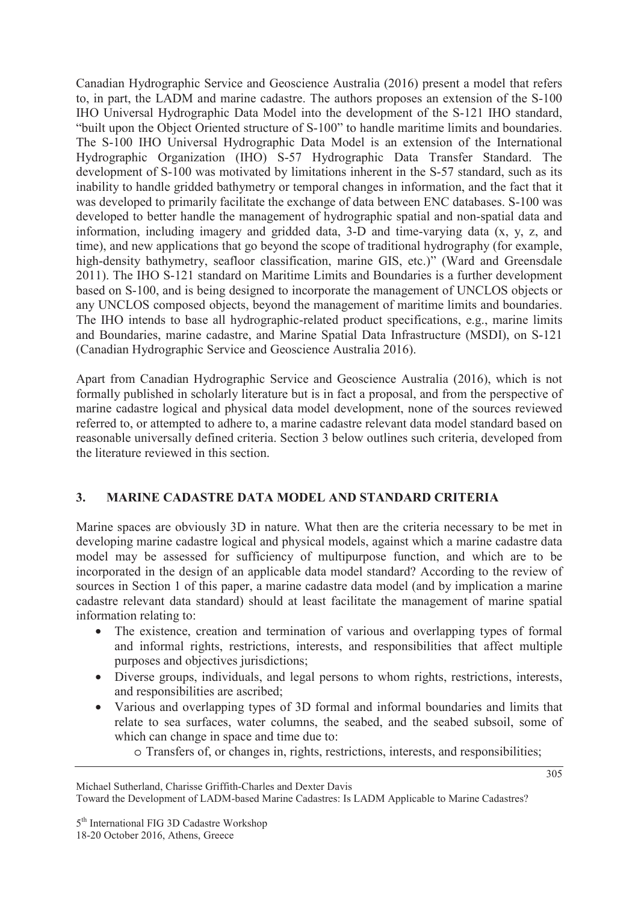Canadian Hydrographic Service and Geoscience Australia (2016) present a model that refers to, in part, the LADM and marine cadastre. The authors proposes an extension of the S-100 IHO Universal Hydrographic Data Model into the development of the S-121 IHO standard, "built upon the Object Oriented structure of S-100" to handle maritime limits and boundaries. The S-100 IHO Universal Hydrographic Data Model is an extension of the International Hydrographic Organization (IHO) S-57 Hydrographic Data Transfer Standard. The development of S-100 was motivated by limitations inherent in the S-57 standard, such as its inability to handle gridded bathymetry or temporal changes in information, and the fact that it was developed to primarily facilitate the exchange of data between ENC databases. S-100 was developed to better handle the management of hydrographic spatial and non-spatial data and information, including imagery and gridded data, 3-D and time-varying data (x, y, z, and time), and new applications that go beyond the scope of traditional hydrography (for example, high-density bathymetry, seafloor classification, marine GIS, etc.)" (Ward and Greensdale 2011). The IHO S-121 standard on Maritime Limits and Boundaries is a further development based on S-100, and is being designed to incorporate the management of UNCLOS objects or any UNCLOS composed objects, beyond the management of maritime limits and boundaries. The IHO intends to base all hydrographic-related product specifications, e.g., marine limits and Boundaries, marine cadastre, and Marine Spatial Data Infrastructure (MSDI), on S-121 (Canadian Hydrographic Service and Geoscience Australia 2016).

Apart from Canadian Hydrographic Service and Geoscience Australia (2016), which is not formally published in scholarly literature but is in fact a proposal, and from the perspective of marine cadastre logical and physical data model development, none of the sources reviewed referred to, or attempted to adhere to, a marine cadastre relevant data model standard based on reasonable universally defined criteria. Section 3 below outlines such criteria, developed from the literature reviewed in this section.

# **3. MARINE CADASTRE DATA MODEL AND STANDARD CRITERIA**

Marine spaces are obviously 3D in nature. What then are the criteria necessary to be met in developing marine cadastre logical and physical models, against which a marine cadastre data model may be assessed for sufficiency of multipurpose function, and which are to be incorporated in the design of an applicable data model standard? According to the review of sources in Section 1 of this paper, a marine cadastre data model (and by implication a marine cadastre relevant data standard) should at least facilitate the management of marine spatial information relating to:

- The existence, creation and termination of various and overlapping types of formal and informal rights, restrictions, interests, and responsibilities that affect multiple purposes and objectives jurisdictions;
- Diverse groups, individuals, and legal persons to whom rights, restrictions, interests, and responsibilities are ascribed;
- Various and overlapping types of 3D formal and informal boundaries and limits that relate to sea surfaces, water columns, the seabed, and the seabed subsoil, some of which can change in space and time due to:
	- o Transfers of, or changes in, rights, restrictions, interests, and responsibilities;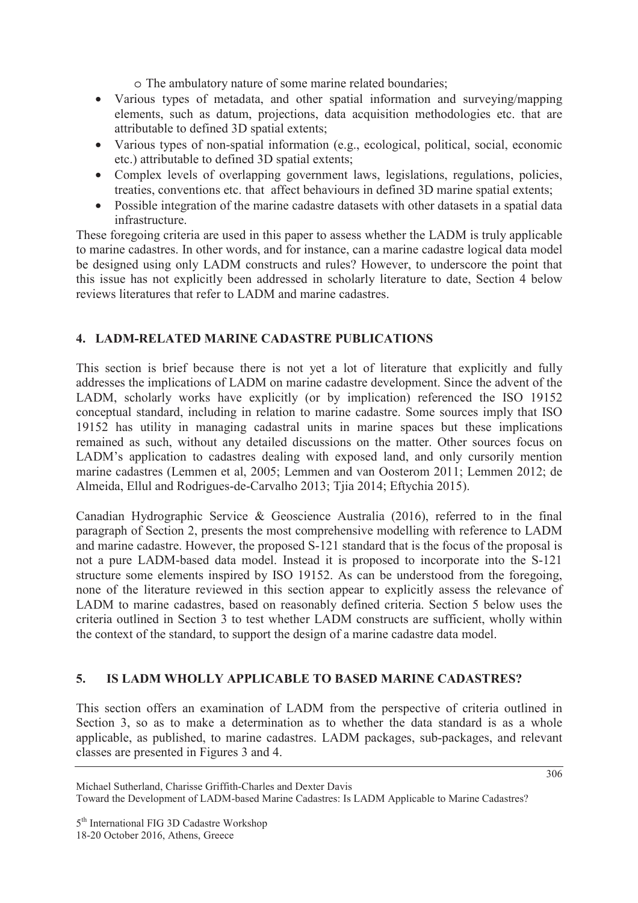o The ambulatory nature of some marine related boundaries;

- Various types of metadata, and other spatial information and surveying/mapping elements, such as datum, projections, data acquisition methodologies etc. that are attributable to defined 3D spatial extents;
- Various types of non-spatial information (e.g., ecological, political, social, economic etc.) attributable to defined 3D spatial extents;
- Complex levels of overlapping government laws, legislations, regulations, policies, treaties, conventions etc. that affect behaviours in defined 3D marine spatial extents;
- Possible integration of the marine cadastre datasets with other datasets in a spatial data infrastructure.

These foregoing criteria are used in this paper to assess whether the LADM is truly applicable to marine cadastres. In other words, and for instance, can a marine cadastre logical data model be designed using only LADM constructs and rules? However, to underscore the point that this issue has not explicitly been addressed in scholarly literature to date, Section 4 below reviews literatures that refer to LADM and marine cadastres.

# **4. LADM-RELATED MARINE CADASTRE PUBLICATIONS**

This section is brief because there is not yet a lot of literature that explicitly and fully addresses the implications of LADM on marine cadastre development. Since the advent of the LADM, scholarly works have explicitly (or by implication) referenced the ISO 19152 conceptual standard, including in relation to marine cadastre. Some sources imply that ISO 19152 has utility in managing cadastral units in marine spaces but these implications remained as such, without any detailed discussions on the matter. Other sources focus on LADM's application to cadastres dealing with exposed land, and only cursorily mention marine cadastres (Lemmen et al, 2005; Lemmen and van Oosterom 2011; Lemmen 2012; de Almeida, Ellul and Rodrigues-de-Carvalho 2013; Tjia 2014; Eftychia 2015).

Canadian Hydrographic Service & Geoscience Australia (2016), referred to in the final paragraph of Section 2, presents the most comprehensive modelling with reference to LADM and marine cadastre. However, the proposed S-121 standard that is the focus of the proposal is not a pure LADM-based data model. Instead it is proposed to incorporate into the S-121 structure some elements inspired by ISO 19152. As can be understood from the foregoing, none of the literature reviewed in this section appear to explicitly assess the relevance of LADM to marine cadastres, based on reasonably defined criteria. Section 5 below uses the criteria outlined in Section 3 to test whether LADM constructs are sufficient, wholly within the context of the standard, to support the design of a marine cadastre data model.

# **5. IS LADM WHOLLY APPLICABLE TO BASED MARINE CADASTRES?**

This section offers an examination of LADM from the perspective of criteria outlined in Section 3, so as to make a determination as to whether the data standard is as a whole applicable, as published, to marine cadastres. LADM packages, sub-packages, and relevant classes are presented in Figures 3 and 4.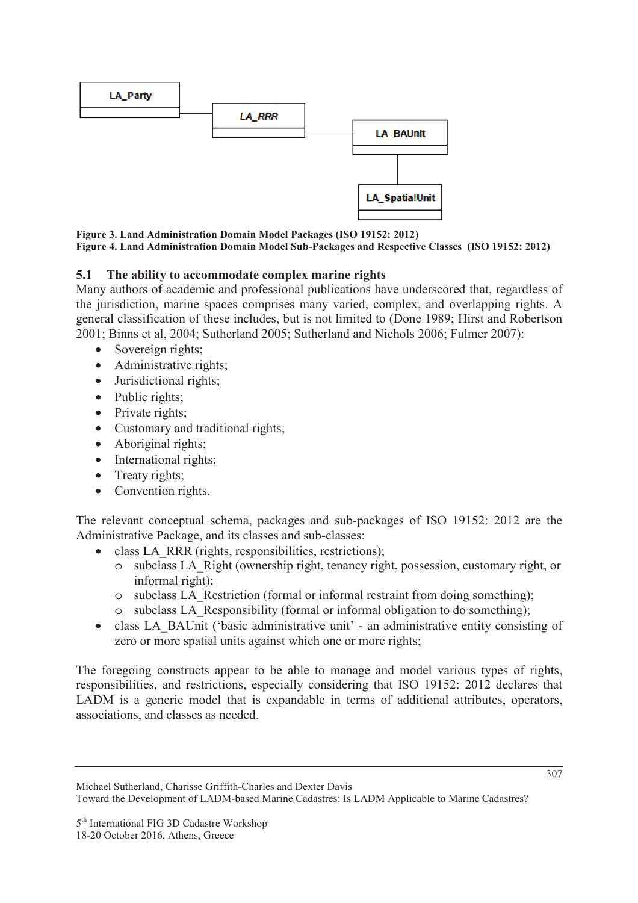

**Figure 3. Land Administration Domain Model Packages (ISO 19152: 2012) Figure 4. Land Administration Domain Model Sub-Packages and Respective Classes (ISO 19152: 2012)** 

### **5.1 The ability to accommodate complex marine rights**

Many authors of academic and professional publications have underscored that, regardless of the jurisdiction, marine spaces comprises many varied, complex, and overlapping rights. A general classification of these includes, but is not limited to (Done 1989; Hirst and Robertson 2001; Binns et al, 2004; Sutherland 2005; Sutherland and Nichols 2006; Fulmer 2007):

- Sovereign rights;
- Administrative rights;
- Jurisdictional rights;
- Public rights;
- Private rights;
- Customary and traditional rights;
- Aboriginal rights;
- International rights;
- Treaty rights;
- Convention rights.

The relevant conceptual schema, packages and sub-packages of ISO 19152: 2012 are the Administrative Package, and its classes and sub-classes:

- class LA\_RRR (rights, responsibilities, restrictions);
	- o subclass LA\_Right (ownership right, tenancy right, possession, customary right, or informal right);
	- o subclass LA\_Restriction (formal or informal restraint from doing something);
	- o subclass LA\_Responsibility (formal or informal obligation to do something);
- class LA\_BAUnit ('basic administrative unit' an administrative entity consisting of zero or more spatial units against which one or more rights;

The foregoing constructs appear to be able to manage and model various types of rights, responsibilities, and restrictions, especially considering that ISO 19152: 2012 declares that LADM is a generic model that is expandable in terms of additional attributes, operators, associations, and classes as needed.

Michael Sutherland, Charisse Griffith-Charles and Dexter Davis Toward the Development of LADM-based Marine Cadastres: Is LADM Applicable to Marine Cadastres?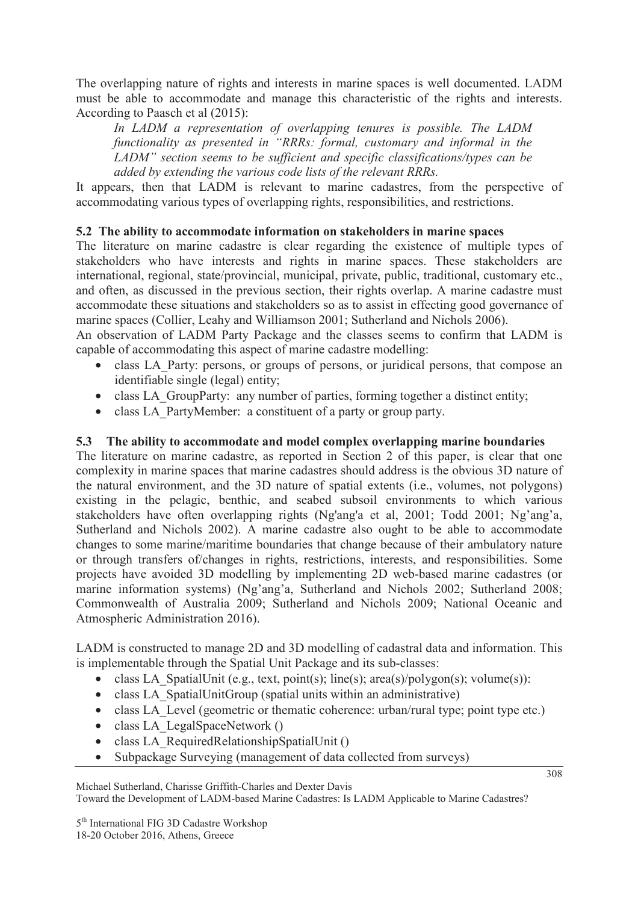The overlapping nature of rights and interests in marine spaces is well documented. LADM must be able to accommodate and manage this characteristic of the rights and interests. According to Paasch et al (2015):

*In LADM a representation of overlapping tenures is possible. The LADM functionality as presented in "RRRs: formal, customary and informal in the LADM" section seems to be sufficient and specific classifications/types can be added by extending the various code lists of the relevant RRRs.* 

It appears, then that LADM is relevant to marine cadastres, from the perspective of accommodating various types of overlapping rights, responsibilities, and restrictions.

# **5.2 The ability to accommodate information on stakeholders in marine spaces**

The literature on marine cadastre is clear regarding the existence of multiple types of stakeholders who have interests and rights in marine spaces. These stakeholders are international, regional, state/provincial, municipal, private, public, traditional, customary etc., and often, as discussed in the previous section, their rights overlap. A marine cadastre must accommodate these situations and stakeholders so as to assist in effecting good governance of marine spaces (Collier, Leahy and Williamson 2001; Sutherland and Nichols 2006).

An observation of LADM Party Package and the classes seems to confirm that LADM is capable of accommodating this aspect of marine cadastre modelling:

- class LA Party: persons, or groups of persons, or juridical persons, that compose an identifiable single (legal) entity;
- class LA GroupParty: any number of parties, forming together a distinct entity;
- class LA PartyMember: a constituent of a party or group party.

# **5.3 The ability to accommodate and model complex overlapping marine boundaries**

The literature on marine cadastre, as reported in Section 2 of this paper, is clear that one complexity in marine spaces that marine cadastres should address is the obvious 3D nature of the natural environment, and the 3D nature of spatial extents (i.e., volumes, not polygons) existing in the pelagic, benthic, and seabed subsoil environments to which various stakeholders have often overlapping rights (Ng'ang'a et al, 2001; Todd 2001; Ng'ang'a, Sutherland and Nichols 2002). A marine cadastre also ought to be able to accommodate changes to some marine/maritime boundaries that change because of their ambulatory nature or through transfers of/changes in rights, restrictions, interests, and responsibilities. Some projects have avoided 3D modelling by implementing 2D web-based marine cadastres (or marine information systems) (Ng'ang'a, Sutherland and Nichols 2002; Sutherland 2008; Commonwealth of Australia 2009; Sutherland and Nichols 2009; National Oceanic and Atmospheric Administration 2016).

LADM is constructed to manage 2D and 3D modelling of cadastral data and information. This is implementable through the Spatial Unit Package and its sub-classes:

- class LA SpatialUnit (e.g., text, point(s); line(s); area(s)/polygon(s); volume(s)):
- class LA SpatialUnitGroup (spatial units within an administrative)
- class LA Level (geometric or thematic coherence: urban/rural type; point type etc.)
- class LA\_LegalSpaceNetwork ()
- class LA\_RequiredRelationshipSpatialUnit ()
- Subpackage Surveying (management of data collected from surveys)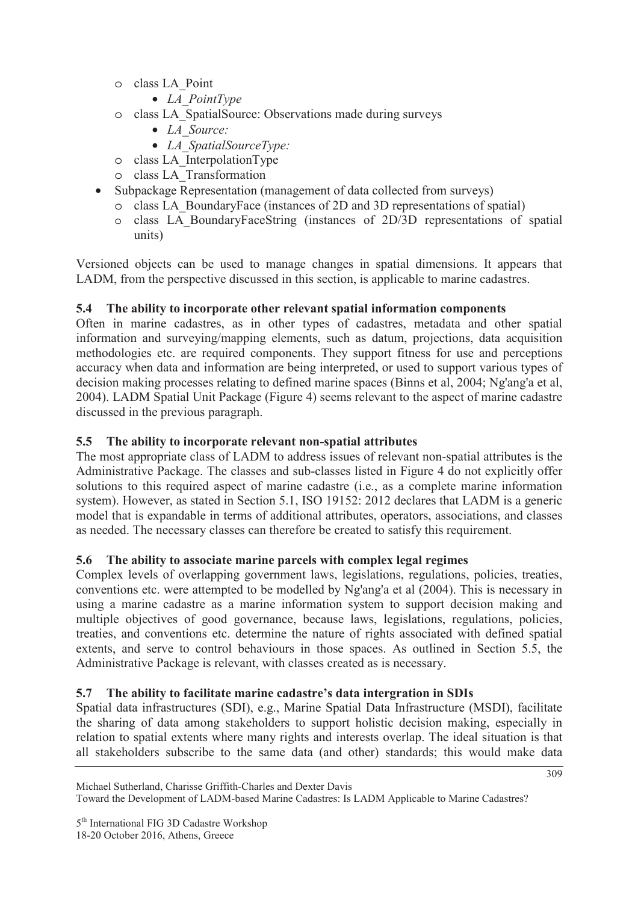- o class LA\_Point
	- *LA\_PointType*
- o class LA\_SpatialSource: Observations made during surveys
	- *LA\_Source:*
	- *LA\_SpatialSourceType:*
- $\circ$  class LA InterpolationType
- o class LA\_Transformation
- Subpackage Representation (management of data collected from surveys)
	- o class LA\_BoundaryFace (instances of 2D and 3D representations of spatial)
	- o class LA\_BoundaryFaceString (instances of 2D/3D representations of spatial units)

Versioned objects can be used to manage changes in spatial dimensions. It appears that LADM, from the perspective discussed in this section, is applicable to marine cadastres.

# **5.4 The ability to incorporate other relevant spatial information components**

Often in marine cadastres, as in other types of cadastres, metadata and other spatial information and surveying/mapping elements, such as datum, projections, data acquisition methodologies etc. are required components. They support fitness for use and perceptions accuracy when data and information are being interpreted, or used to support various types of decision making processes relating to defined marine spaces (Binns et al, 2004; Ng'ang'a et al, 2004). LADM Spatial Unit Package (Figure 4) seems relevant to the aspect of marine cadastre discussed in the previous paragraph.

# **5.5 The ability to incorporate relevant non-spatial attributes**

The most appropriate class of LADM to address issues of relevant non-spatial attributes is the Administrative Package. The classes and sub-classes listed in Figure 4 do not explicitly offer solutions to this required aspect of marine cadastre (i.e., as a complete marine information system). However, as stated in Section 5.1, ISO 19152: 2012 declares that LADM is a generic model that is expandable in terms of additional attributes, operators, associations, and classes as needed. The necessary classes can therefore be created to satisfy this requirement.

# **5.6 The ability to associate marine parcels with complex legal regimes**

Complex levels of overlapping government laws, legislations, regulations, policies, treaties, conventions etc. were attempted to be modelled by Ng'ang'a et al (2004). This is necessary in using a marine cadastre as a marine information system to support decision making and multiple objectives of good governance, because laws, legislations, regulations, policies, treaties, and conventions etc. determine the nature of rights associated with defined spatial extents, and serve to control behaviours in those spaces. As outlined in Section 5.5, the Administrative Package is relevant, with classes created as is necessary.

# **5.7 The ability to facilitate marine cadastre's data intergration in SDIs**

Spatial data infrastructures (SDI), e.g., Marine Spatial Data Infrastructure (MSDI), facilitate the sharing of data among stakeholders to support holistic decision making, especially in relation to spatial extents where many rights and interests overlap. The ideal situation is that all stakeholders subscribe to the same data (and other) standards; this would make data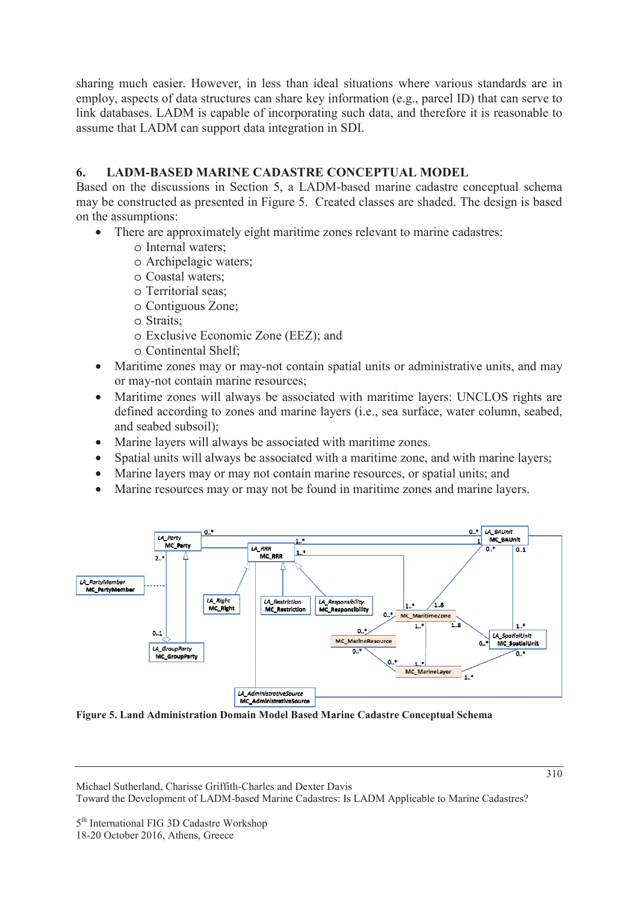sharing much easier. However, in less than ideal situations where various standards are in employ, aspects of data structures can share key information (e.g., parcel ID) that can serve to link databases. LADM is capable of incorporating such data, and therefore it is reasonable to assume that LADM can support data integration in SDI.

# **6. LADM-BASED MARINE CADASTRE CONCEPTUAL MODEL**

Based on the discussions in Section 5, a LADM-based marine cadastre conceptual schema may be constructed as presented in Figure 5. Created classes are shaded. The design is based on the assumptions:

- There are approximately eight maritime zones relevant to marine cadastres:
	- o Internal waters;
	- o Archipelagic waters;
	- o Coastal waters;
	- o Territorial seas;
	- o Contiguous Zone;
	- o Straits;
	- o Exclusive Economic Zone (EEZ); and
	- o Continental Shelf;
- Maritime zones may or may-not contain spatial units or administrative units, and may or may-not contain marine resources;
- Maritime zones will always be associated with maritime layers: UNCLOS rights are defined according to zones and marine layers (i.e., sea surface, water column, seabed, and seabed subsoil);
- Marine layers will always be associated with maritime zones.
- Spatial units will always be associated with a maritime zone, and with marine layers;
- Marine layers may or may not contain marine resources, or spatial units; and
- Marine resources may or may not be found in maritime zones and marine layers.



**Figure 5. Land Administration Domain Model Based Marine Cadastre Conceptual Schema** 

Michael Sutherland, Charisse Griffith-Charles and Dexter Davis Toward the Development of LADM-based Marine Cadastres: Is LADM Applicable to Marine Cadastres?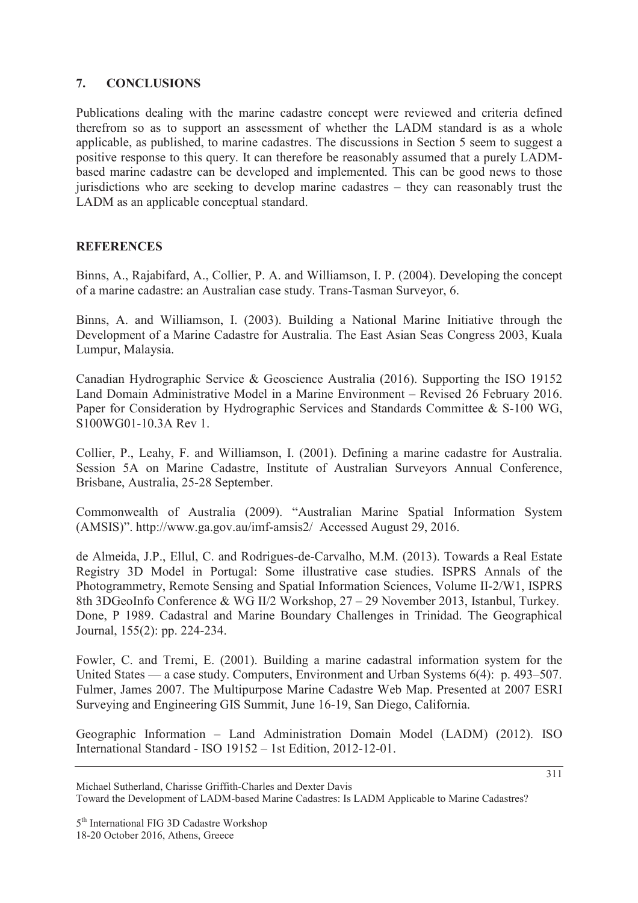### **7. CONCLUSIONS**

Publications dealing with the marine cadastre concept were reviewed and criteria defined therefrom so as to support an assessment of whether the LADM standard is as a whole applicable, as published, to marine cadastres. The discussions in Section 5 seem to suggest a positive response to this query. It can therefore be reasonably assumed that a purely LADMbased marine cadastre can be developed and implemented. This can be good news to those jurisdictions who are seeking to develop marine cadastres – they can reasonably trust the LADM as an applicable conceptual standard.

### **REFERENCES**

Binns, A., Rajabifard, A., Collier, P. A. and Williamson, I. P. (2004). Developing the concept of a marine cadastre: an Australian case study. Trans-Tasman Surveyor, 6.

Binns, A. and Williamson, I. (2003). Building a National Marine Initiative through the Development of a Marine Cadastre for Australia. The East Asian Seas Congress 2003, Kuala Lumpur, Malaysia.

Canadian Hydrographic Service & Geoscience Australia (2016). Supporting the ISO 19152 Land Domain Administrative Model in a Marine Environment – Revised 26 February 2016. Paper for Consideration by Hydrographic Services and Standards Committee & S-100 WG, S100WG01-10.3A Rev 1.

Collier, P., Leahy, F. and Williamson, I. (2001). Defining a marine cadastre for Australia. Session 5A on Marine Cadastre, Institute of Australian Surveyors Annual Conference, Brisbane, Australia, 25-28 September.

Commonwealth of Australia (2009). "Australian Marine Spatial Information System (AMSIS)". http://www.ga.gov.au/imf-amsis2/ Accessed August 29, 2016.

de Almeida, J.P., Ellul, C. and Rodrigues-de-Carvalho, M.M. (2013). Towards a Real Estate Registry 3D Model in Portugal: Some illustrative case studies. ISPRS Annals of the Photogrammetry, Remote Sensing and Spatial Information Sciences, Volume II-2/W1, ISPRS 8th 3DGeoInfo Conference & WG II/2 Workshop, 27 – 29 November 2013, Istanbul, Turkey. Done, P 1989. Cadastral and Marine Boundary Challenges in Trinidad. The Geographical Journal, 155(2): pp. 224-234.

Fowler, C. and Tremi, E. (2001). Building a marine cadastral information system for the United States — a case study. Computers, Environment and Urban Systems 6(4): p. 493–507. Fulmer, James 2007. The Multipurpose Marine Cadastre Web Map. Presented at 2007 ESRI Surveying and Engineering GIS Summit, June 16-19, San Diego, California.

Geographic Information – Land Administration Domain Model (LADM) (2012). ISO International Standard - ISO 19152 – 1st Edition, 2012-12-01.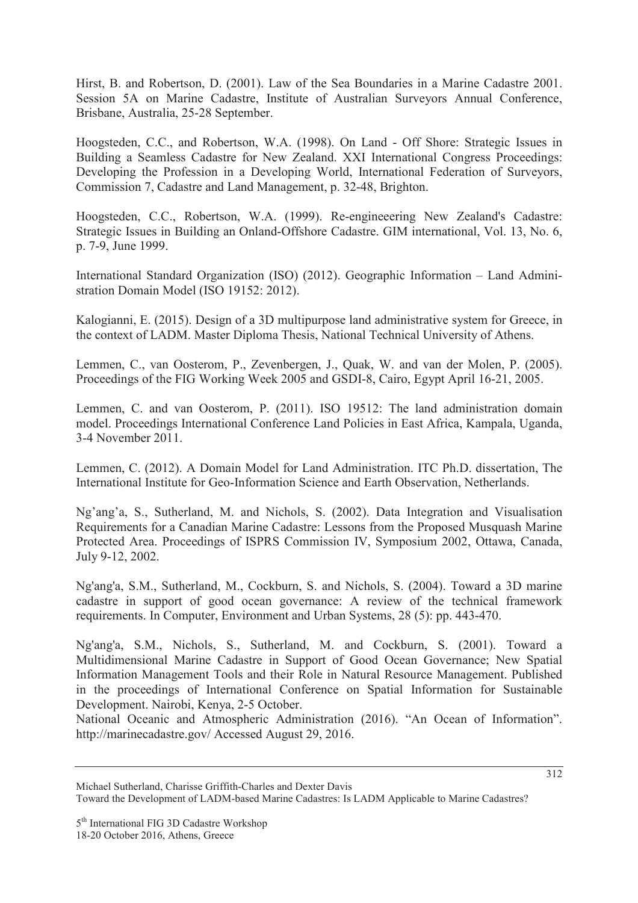Hirst, B. and Robertson, D. (2001). Law of the Sea Boundaries in a Marine Cadastre 2001. Session 5A on Marine Cadastre, Institute of Australian Surveyors Annual Conference, Brisbane, Australia, 25-28 September.

Hoogsteden, C.C., and Robertson, W.A. (1998). On Land - Off Shore: Strategic Issues in Building a Seamless Cadastre for New Zealand. XXI International Congress Proceedings: Developing the Profession in a Developing World, International Federation of Surveyors, Commission 7, Cadastre and Land Management, p. 32-48, Brighton.

Hoogsteden, C.C., Robertson, W.A. (1999). Re-engineeering New Zealand's Cadastre: Strategic Issues in Building an Onland-Offshore Cadastre. GIM international, Vol. 13, No. 6, p. 7-9, June 1999.

International Standard Organization (ISO) (2012). Geographic Information – Land Administration Domain Model (ISO 19152: 2012).

Kalogianni, E. (2015). Design of a 3D multipurpose land administrative system for Greece, in the context of LADM. Master Diploma Thesis, National Technical University of Athens.

Lemmen, C., van Oosterom, P., Zevenbergen, J., Quak, W. and van der Molen, P. (2005). Proceedings of the FIG Working Week 2005 and GSDI-8, Cairo, Egypt April 16-21, 2005.

Lemmen, C. and van Oosterom, P. (2011). ISO 19512: The land administration domain model. Proceedings International Conference Land Policies in East Africa, Kampala, Uganda, 3-4 November 2011.

Lemmen, C. (2012). A Domain Model for Land Administration. ITC Ph.D. dissertation, The International Institute for Geo-Information Science and Earth Observation, Netherlands.

Ng'ang'a, S., Sutherland, M. and Nichols, S. (2002). Data Integration and Visualisation Requirements for a Canadian Marine Cadastre: Lessons from the Proposed Musquash Marine Protected Area. Proceedings of ISPRS Commission IV, Symposium 2002, Ottawa, Canada, July 9-12, 2002.

Ng'ang'a, S.M., Sutherland, M., Cockburn, S. and Nichols, S. (2004). Toward a 3D marine cadastre in support of good ocean governance: A review of the technical framework requirements. In Computer, Environment and Urban Systems, 28 (5): pp. 443-470.

Ng'ang'a, S.M., Nichols, S., Sutherland, M. and Cockburn, S. (2001). Toward a Multidimensional Marine Cadastre in Support of Good Ocean Governance; New Spatial Information Management Tools and their Role in Natural Resource Management. Published in the proceedings of International Conference on Spatial Information for Sustainable Development. Nairobi, Kenya, 2-5 October.

National Oceanic and Atmospheric Administration (2016). "An Ocean of Information". http://marinecadastre.gov/ Accessed August 29, 2016.

Michael Sutherland, Charisse Griffith-Charles and Dexter Davis Toward the Development of LADM-based Marine Cadastres: Is LADM Applicable to Marine Cadastres?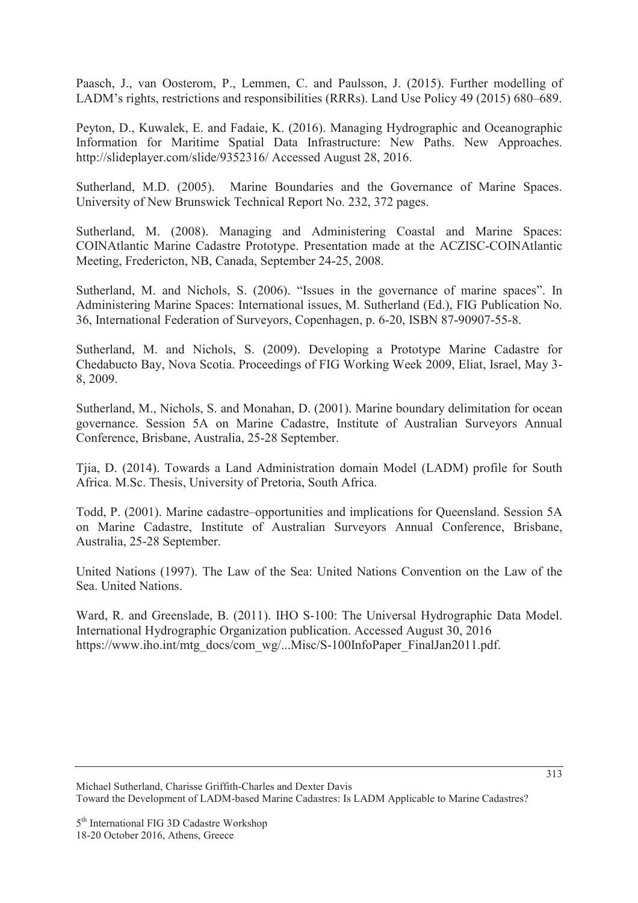Paasch, J., van Oosterom, P., Lemmen, C. and Paulsson, J. (2015). Further modelling of LADM's rights, restrictions and responsibilities (RRRs). Land Use Policy 49 (2015) 680–689.

Peyton, D., Kuwalek, E. and Fadaie, K. (2016). Managing Hydrographic and Oceanographic Information for Maritime Spatial Data Infrastructure: New Paths. New Approaches. http://slideplayer.com/slide/9352316/ Accessed August 28, 2016.

Sutherland, M.D. (2005). Marine Boundaries and the Governance of Marine Spaces. University of New Brunswick Technical Report No. 232, 372 pages.

Sutherland, M. (2008). Managing and Administering Coastal and Marine Spaces: COINAtlantic Marine Cadastre Prototype. Presentation made at the ACZISC-COINAtlantic Meeting, Fredericton, NB, Canada, September 24-25, 2008.

Sutherland, M. and Nichols, S. (2006). "Issues in the governance of marine spaces". In Administering Marine Spaces: International issues, M. Sutherland (Ed.), FIG Publication No. 36, International Federation of Surveyors, Copenhagen, p. 6-20, ISBN 87-90907-55-8.

Sutherland, M. and Nichols, S. (2009). Developing a Prototype Marine Cadastre for Chedabucto Bay, Nova Scotia. Proceedings of FIG Working Week 2009, Eliat, Israel, May 3- 8, 2009.

Sutherland, M., Nichols, S. and Monahan, D. (2001). Marine boundary delimitation for ocean governance. Session 5A on Marine Cadastre, Institute of Australian Surveyors Annual Conference, Brisbane, Australia, 25-28 September.

Tjia, D. (2014). Towards a Land Administration domain Model (LADM) profile for South Africa. M.Sc. Thesis, University of Pretoria, South Africa.

Todd, P. (2001). Marine cadastre–opportunities and implications for Queensland. Session 5A on Marine Cadastre, Institute of Australian Surveyors Annual Conference, Brisbane, Australia, 25-28 September.

United Nations (1997). The Law of the Sea: United Nations Convention on the Law of the Sea. United Nations.

Ward, R. and Greenslade, B. (2011). IHO S-100: The Universal Hydrographic Data Model. International Hydrographic Organization publication. Accessed August 30, 2016 https://www.iho.int/mtg\_docs/com\_wg/...Misc/S-100InfoPaper\_FinalJan2011.pdf.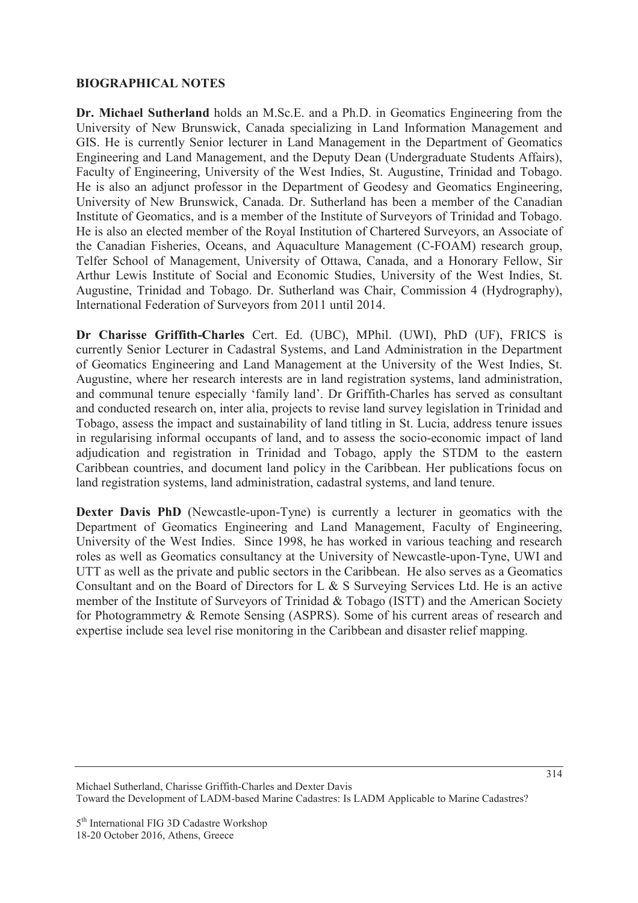### **BIOGRAPHICAL NOTES**

**Dr. Michael Sutherland** holds an M.Sc.E. and a Ph.D. in Geomatics Engineering from the University of New Brunswick, Canada specializing in Land Information Management and GIS. He is currently Senior lecturer in Land Management in the Department of Geomatics Engineering and Land Management, and the Deputy Dean (Undergraduate Students Affairs), Faculty of Engineering, University of the West Indies, St. Augustine, Trinidad and Tobago. He is also an adjunct professor in the Department of Geodesy and Geomatics Engineering, University of New Brunswick, Canada. Dr. Sutherland has been a member of the Canadian Institute of Geomatics, and is a member of the Institute of Surveyors of Trinidad and Tobago. He is also an elected member of the Royal Institution of Chartered Surveyors, an Associate of the Canadian Fisheries, Oceans, and Aquaculture Management (C-FOAM) research group, Telfer School of Management, University of Ottawa, Canada, and a Honorary Fellow, Sir Arthur Lewis Institute of Social and Economic Studies, University of the West Indies, St. Augustine, Trinidad and Tobago. Dr. Sutherland was Chair, Commission 4 (Hydrography), International Federation of Surveyors from 2011 until 2014.

**Dr Charisse Griffith-Charles** Cert. Ed. (UBC), MPhil. (UWI), PhD (UF), FRICS is currently Senior Lecturer in Cadastral Systems, and Land Administration in the Department of Geomatics Engineering and Land Management at the University of the West Indies, St. Augustine, where her research interests are in land registration systems, land administration, and communal tenure especially 'family land'. Dr Griffith-Charles has served as consultant and conducted research on, inter alia, projects to revise land survey legislation in Trinidad and Tobago, assess the impact and sustainability of land titling in St. Lucia, address tenure issues in regularising informal occupants of land, and to assess the socio-economic impact of land adjudication and registration in Trinidad and Tobago, apply the STDM to the eastern Caribbean countries, and document land policy in the Caribbean. Her publications focus on land registration systems, land administration, cadastral systems, and land tenure.

**Dexter Davis PhD** (Newcastle-upon-Tyne) is currently a lecturer in geomatics with the Department of Geomatics Engineering and Land Management, Faculty of Engineering, University of the West Indies. Since 1998, he has worked in various teaching and research roles as well as Geomatics consultancy at the University of Newcastle-upon-Tyne, UWI and UTT as well as the private and public sectors in the Caribbean. He also serves as a Geomatics Consultant and on the Board of Directors for L & S Surveying Services Ltd. He is an active member of the Institute of Surveyors of Trinidad & Tobago (ISTT) and the American Society for Photogrammetry & Remote Sensing (ASPRS). Some of his current areas of research and expertise include sea level rise monitoring in the Caribbean and disaster relief mapping.

Michael Sutherland, Charisse Griffith-Charles and Dexter Davis Toward the Development of LADM-based Marine Cadastres: Is LADM Applicable to Marine Cadastres?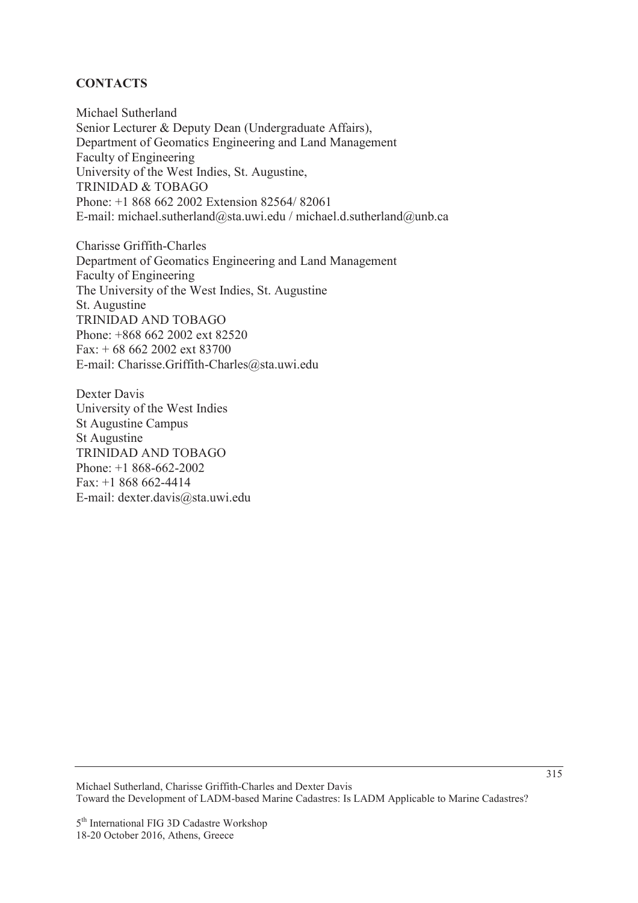# **CONTACTS**

Michael Sutherland Senior Lecturer & Deputy Dean (Undergraduate Affairs), Department of Geomatics Engineering and Land Management Faculty of Engineering University of the West Indies, St. Augustine, TRINIDAD & TOBAGO Phone: +1 868 662 2002 Extension 82564/ 82061 E-mail: michael.sutherland@sta.uwi.edu / michael.d.sutherland@unb.ca

Charisse Griffith-Charles Department of Geomatics Engineering and Land Management Faculty of Engineering The University of the West Indies, St. Augustine St. Augustine TRINIDAD AND TOBAGO Phone: +868 662 2002 ext 82520 Fax: + 68 662 2002 ext 83700 E-mail: Charisse.Griffith-Charles@sta.uwi.edu

Dexter Davis University of the West Indies St Augustine Campus St Augustine TRINIDAD AND TOBAGO Phone: +1 868-662-2002 Fax: +1 868 662-4414 E-mail: dexter.davis@sta.uwi.edu